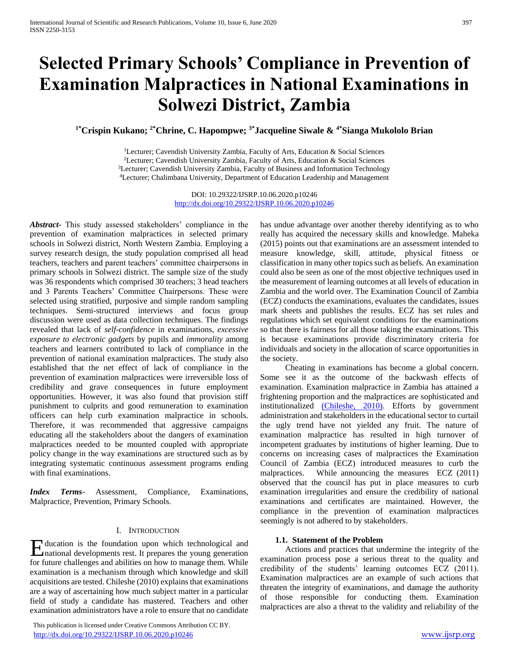# **Selected Primary Schools' Compliance in Prevention of Examination Malpractices in National Examinations in Solwezi District, Zambia**

**1\*Crispin Kukano; 2\*Chrine, C. Hapompwe; 3\*Jacqueline Siwale & 4\*Sianga Mukololo Brian** 

<sup>1</sup>Lecturer; Cavendish University Zambia, Faculty of Arts, Education & Social Sciences <sup>2</sup>Lecturer; Cavendish University Zambia, Faculty of Arts, Education & Social Sciences <sup>3</sup>Lecturer; Cavendish University Zambia, Faculty of Business and Information Technology <sup>4</sup>Lecturer; Chalimbana University, Department of Education Leadership and Management

> DOI: 10.29322/IJSRP.10.06.2020.p10246 <http://dx.doi.org/10.29322/IJSRP.10.06.2020.p10246>

*Abstract***-** This study assessed stakeholders' compliance in the prevention of examination malpractices in selected primary schools in Solwezi district, North Western Zambia. Employing a survey research design, the study population comprised all head teachers, teachers and parent teachers' committee chairpersons in primary schools in Solwezi district. The sample size of the study was 36 respondents which comprised 30 teachers; 3 head teachers and 3 Parents Teachers' Committee Chairpersons. These were selected using stratified, purposive and simple random sampling techniques. Semi-structured interviews and focus group discussion were used as data collection techniques. The findings revealed that lack of *self-confidence* in examinations, *excessive exposure to electronic gadgets* by pupils and *immorality* among teachers and learners contributed to lack of compliance in the prevention of national examination malpractices. The study also established that the net effect of lack of compliance in the prevention of examination malpractices were irreversible loss of credibility and grave consequences in future employment opportunities. However, it was also found that provision stiff punishment to culprits and good remuneration to examination officers can help curb examination malpractice in schools. Therefore, it was recommended that aggressive campaigns educating all the stakeholders about the dangers of examination malpractices needed to be mounted coupled with appropriate policy change in the way examinations are structured such as by integrating systematic continuous assessment programs ending with final examinations.

*Index Terms*- Assessment, Compliance, Examinations, Malpractice, Prevention, Primary Schools.

# I. INTRODUCTION

Education is the foundation upon which technological and mational developments rest. It prepares the young generation national developments rest. It prepares the young generation for future challenges and abilities on how to manage them. While examination is a mechanism through which knowledge and skill acquisitions are tested. Chileshe (2010) explains that examinations are a way of ascertaining how much subject matter in a particular field of study a candidate has mastered. Teachers and other examination administrators have a role to ensure that no candidate

 This publication is licensed under Creative Commons Attribution CC BY. <http://dx.doi.org/10.29322/IJSRP.10.06.2020.p10246> [www.ijsrp.org](http://ijsrp.org/)

has undue advantage over another thereby identifying as to who really has acquired the necessary skills and knowledge. Maheka (2015) points out that examinations are an assessment intended to measure knowledge, skill, attitude, physical fitness or classification in many other topics such as beliefs. An examination could also be seen as one of the most objective techniques used in the measurement of learning outcomes at all levels of education in Zambia and the world over. The Examination Council of Zambia (ECZ) conducts the examinations, evaluates the candidates, issues mark sheets and publishes the results. ECZ has set rules and regulations which set equivalent conditions for the examinations so that there is fairness for all those taking the examinations. This is because examinations provide discriminatory criteria for individuals and society in the allocation of scarce opportunities in the society.

 Cheating in examinations has become a global concern. Some see it as the outcome of the backwash effects of examination. Examination malpractice in Zambia has attained a frightening proportion and the malpractices are sophisticated and institutionalized [\(Chileshe, 2010\).](http://file.scirp.org/Html/7-6302130_45693.htm#p579) Efforts by government administration and stakeholders in the educational sector to curtail the ugly trend have not yielded any fruit. The nature of examination malpractice has resulted in high turnover of incompetent graduates by institutions of higher learning. Due to concerns on increasing cases of malpractices the Examination Council of Zambia (ECZ) introduced measures to curb the malpractices. While announcing the measures ECZ (2011) observed that the council has put in place measures to curb examination irregularities and ensure the credibility of national examinations and certificates are maintained. However, the compliance in the prevention of examination malpractices seemingly is not adhered to by stakeholders.

#### **1.1. Statement of the Problem**

 Actions and practices that undermine the integrity of the examination process pose a serious threat to the quality and credibility of the students' learning outcomes ECZ (2011). Examination malpractices are an example of such actions that threaten the integrity of examinations, and damage the authority of those responsible for conducting them. Examination malpractices are also a threat to the validity and reliability of the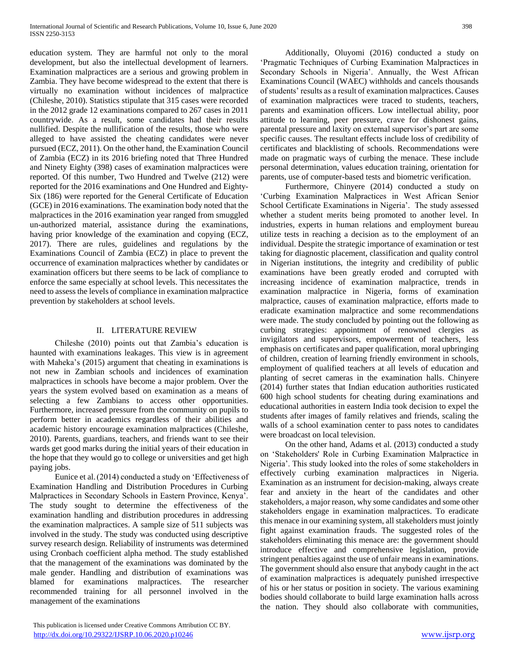education system. They are harmful not only to the moral development, but also the intellectual development of learners. Examination malpractices are a serious and growing problem in Zambia. They have become widespread to the extent that there is virtually no examination without incidences of malpractice (Chileshe, 2010). Statistics stipulate that 315 cases were recorded in the 2012 grade 12 examinations compared to 267 cases in 2011 countrywide. As a result, some candidates had their results nullified. Despite the nullification of the results, those who were alleged to have assisted the cheating candidates were never pursued (ECZ, 2011). On the other hand, the Examination Council of Zambia (ECZ) in its 2016 briefing noted that Three Hundred and Ninety Eighty (398) cases of examination malpractices were reported. Of this number, Two Hundred and Twelve (212) were reported for the 2016 examinations and One Hundred and Eighty-Six (186) were reported for the General Certificate of Education (GCE) in 2016 examinations. The examination body noted that the malpractices in the 2016 examination year ranged from smuggled un-authorized material, assistance during the examinations, having prior knowledge of the examination and copying (ECZ, 2017). There are rules, guidelines and regulations by the Examinations Council of Zambia (ECZ) in place to prevent the occurrence of examination malpractices whether by candidates or examination officers but there seems to be lack of compliance to enforce the same especially at school levels. This necessitates the need to assess the levels of compliance in examination malpractice prevention by stakeholders at school levels.

# II. LITERATURE REVIEW

 Chileshe (2010) points out that Zambia's education is haunted with examinations leakages. This view is in agreement with Maheka's (2015) argument that cheating in examinations is not new in Zambian schools and incidences of examination malpractices in schools have become a major problem. Over the years the system evolved based on examination as a means of selecting a few Zambians to access other opportunities. Furthermore, increased pressure from the community on pupils to perform better in academics regardless of their abilities and academic history encourage examination malpractices (Chileshe, 2010). Parents, guardians, teachers, and friends want to see their wards get good marks during the initial years of their education in the hope that they would go to college or universities and get high paying jobs.

 Eunice et al.(2014) conducted a study on 'Effectiveness of Examination Handling and Distribution Procedures in Curbing Malpractices in Secondary Schools in Eastern Province, Kenya'. The study sought to determine the effectiveness of the examination handling and distribution procedures in addressing the examination malpractices. A sample size of 511 subjects was involved in the study. The study was conducted using descriptive survey research design. Reliability of instruments was determined using Cronbach coefficient alpha method. The study established that the management of the examinations was dominated by the male gender. Handling and distribution of examinations was blamed for examinations malpractices. The researcher recommended training for all personnel involved in the management of the examinations

 Additionally, Oluyomi (2016) conducted a study on 'Pragmatic Techniques of Curbing Examination Malpractices in Secondary Schools in Nigeria'. Annually, the West African Examinations Council (WAEC) withholds and cancels thousands of students' results as a result of examination malpractices. Causes of examination malpractices were traced to students, teachers, parents and examination officers. Low intellectual ability, poor attitude to learning, peer pressure, crave for dishonest gains, parental pressure and laxity on external supervisor's part are some specific causes. The resultant effects include loss of credibility of certificates and blacklisting of schools. Recommendations were made on pragmatic ways of curbing the menace. These include personal determination, values education training, orientation for parents, use of computer-based tests and biometric verification.

 Furthermore, Chinyere (2014) conducted a study on 'Curbing Examination Malpractices in West African Senior School Certificate Examinations in Nigeria'. The study assessed whether a student merits being promoted to another level. In industries, experts in human relations and employment bureau utilize tests in reaching a decision as to the employment of an individual. Despite the strategic importance of examination or test taking for diagnostic placement, classification and quality control in Nigerian institutions, the integrity and credibility of public examinations have been greatly eroded and corrupted with increasing incidence of examination malpractice, trends in examination malpractice in Nigeria, forms of examination malpractice, causes of examination malpractice, efforts made to eradicate examination malpractice and some recommendations were made. The study concluded by pointing out the following as curbing strategies: appointment of renowned clergies as invigilators and supervisors, empowerment of teachers, less emphasis on certificates and paper qualification, moral upbringing of children, creation of learning friendly environment in schools, employment of qualified teachers at all levels of education and planting of secret cameras in the examination halls. Chinyere (2014) further states that Indian education authorities rusticated 600 high school students for cheating during examinations and educational authorities in eastern India took decision to expel the students after images of family relatives and friends, scaling the walls of a school examination center to pass notes to candidates were broadcast on local television.

 On the other hand, Adams et al. (2013) conducted a study on 'Stakeholders' Role in Curbing Examination Malpractice in Nigeria'. This study looked into the roles of some stakeholders in effectively curbing examination malpractices in Nigeria. Examination as an instrument for decision-making, always create fear and anxiety in the heart of the candidates and other stakeholders, a major reason, why some candidates and some other stakeholders engage in examination malpractices. To eradicate this menace in our examining system, all stakeholders must jointly fight against examination frauds. The suggested roles of the stakeholders eliminating this menace are: the government should introduce effective and comprehensive legislation, provide stringent penalties against the use of unfair means in examinations. The government should also ensure that anybody caught in the act of examination malpractices is adequately punished irrespective of his or her status or position in society. The various examining bodies should collaborate to build large examination halls across the nation. They should also collaborate with communities,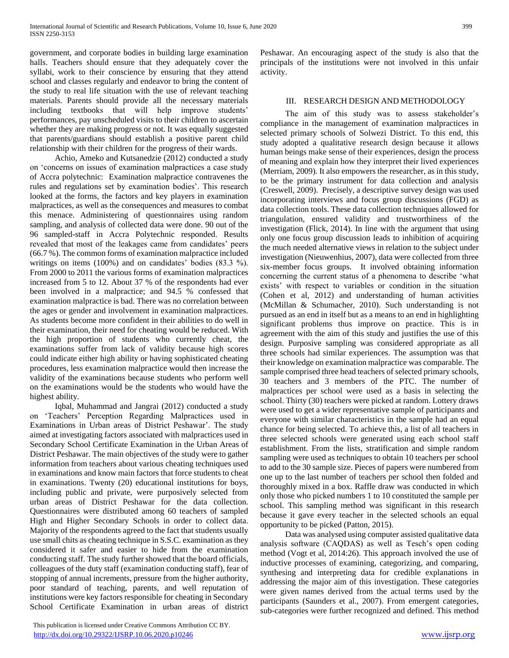government, and corporate bodies in building large examination halls. Teachers should ensure that they adequately cover the syllabi, work to their conscience by ensuring that they attend school and classes regularly and endeavor to bring the content of the study to real life situation with the use of relevant teaching materials. Parents should provide all the necessary materials including textbooks that will help improve students' performances, pay unscheduled visits to their children to ascertain whether they are making progress or not. It was equally suggested that parents/guardians should establish a positive parent child relationship with their children for the progress of their wards.

 Achio, Ameko and Kutsanedzie (2012) conducted a study on 'concerns on issues of examination malpractices a case study of Accra polytechnic: Examination malpractice contravenes the rules and regulations set by examination bodies'. This research looked at the forms, the factors and key players in examination malpractices, as well as the consequences and measures to combat this menace. Administering of questionnaires using random sampling, and analysis of collected data were done. 90 out of the 96 sampled-staff in Accra Polytechnic responded. Results revealed that most of the leakages came from candidates' peers (66.7 %). The common forms of examination malpractice included writings on items (100%) and on candidates' bodies (83.3 %). From 2000 to 2011 the various forms of examination malpractices increased from 5 to 12. About 37 % of the respondents had ever been involved in a malpractice; and 94.5 % confessed that examination malpractice is bad. There was no correlation between the ages or gender and involvement in examination malpractices. As students become more confident in their abilities to do well in their examination, their need for cheating would be reduced. With the high proportion of students who currently cheat, the examinations suffer from lack of validity because high scores could indicate either high ability or having sophisticated cheating procedures, less examination malpractice would then increase the validity of the examinations because students who perform well on the examinations would be the students who would have the highest ability.

 Iqbal, Muhammad and Jangrai (2012) conducted a study on 'Teachers' Perception Regarding Malpractices used in Examinations in Urban areas of District Peshawar'. The study aimed at investigating factors associated with malpractices used in Secondary School Certificate Examination in the Urban Areas of District Peshawar. The main objectives of the study were to gather information from teachers about various cheating techniques used in examinations and know main factors that force students to cheat in examinations. Twenty (20) educational institutions for boys, including public and private, were purposively selected from urban areas of District Peshawar for the data collection. Questionnaires were distributed among 60 teachers of sampled High and Higher Secondary Schools in order to collect data. Majority of the respondents agreed to the fact that students usually use small chits as cheating technique in S.S.C. examination as they considered it safer and easier to hide from the examination conducting staff. The study further showed that the board officials, colleagues of the duty staff (examination conducting staff), fear of stopping of annual increments, pressure from the higher authority, poor standard of teaching, parents, and well reputation of institutions were key factors responsible for cheating in Secondary School Certificate Examination in urban areas of district

 This publication is licensed under Creative Commons Attribution CC BY. <http://dx.doi.org/10.29322/IJSRP.10.06.2020.p10246> [www.ijsrp.org](http://ijsrp.org/)

Peshawar. An encouraging aspect of the study is also that the principals of the institutions were not involved in this unfair activity.

# III. RESEARCH DESIGN AND METHODOLOGY

 The aim of this study was to assess stakeholder's compliance in the management of examination malpractices in selected primary schools of Solwezi District. To this end, this study adopted a qualitative research design because it allows human beings make sense of their experiences, design the process of meaning and explain how they interpret their lived experiences (Merriam, 2009). It also empowers the researcher, as in this study, to be the primary instrument for data collection and analysis (Creswell, 2009). Precisely, a descriptive survey design was used incorporating interviews and focus group discussions (FGD) as data collection tools. These data collection techniques allowed for triangulation, ensured validity and trustworthiness of the investigation (Flick, 2014). In line with the argument that using only one focus group discussion leads to inhibition of acquiring the much needed alternative views in relation to the subject under investigation (Nieuwenhius, 2007), data were collected from three six-member focus groups. It involved obtaining information concerning the current status of a phenomena to describe 'what exists' with respect to variables or condition in the situation (Cohen et al, 2012) and understanding of human activities (McMillan & Schumacher, 2010). Such understanding is not pursued as an end in itself but as a means to an end in highlighting significant problems thus improve on practice. This is in agreement with the aim of this study and justifies the use of this design. Purposive sampling was considered appropriate as all three schools had similar experiences. The assumption was that their knowledge on examination malpractice was comparable. The sample comprised three head teachers of selected primary schools, 30 teachers and 3 members of the PTC. The number of malpractices per school were used as a basis in selecting the school. Thirty (30) teachers were picked at random. Lottery draws were used to get a wider representative sample of participants and everyone with similar characteristics in the sample had an equal chance for being selected. To achieve this, a list of all teachers in three selected schools were generated using each school staff establishment. From the lists, stratification and simple random sampling were used as techniques to obtain 10 teachers per school to add to the 30 sample size. Pieces of papers were numbered from one up to the last number of teachers per school then folded and thoroughly mixed in a box. Raffle draw was conducted in which only those who picked numbers 1 to 10 constituted the sample per school. This sampling method was significant in this research because it gave every teacher in the selected schools an equal opportunity to be picked (Patton, 2015).

 Data was analysed using computer assisted qualitative data analysis software (CAQDAS) as well as Tesch's open coding method (Vogt et al, 2014:26). This approach involved the use of inductive processes of examining, categorizing, and comparing, synthesing and interpreting data for credible explanations in addressing the major aim of this investigation. These categories were given names derived from the actual terms used by the participants (Saunders et al., 2007). From emergent categories, sub-categories were further recognized and defined. This method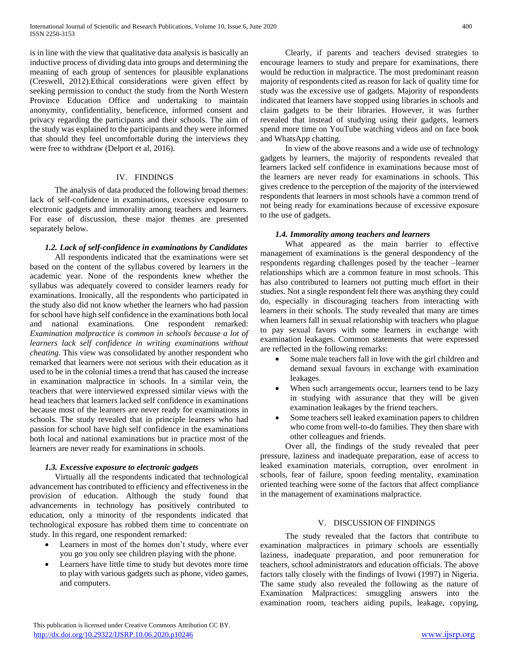is in line with the view that qualitative data analysis is basically an inductive process of dividing data into groups and determining the meaning of each group of sentences for plausible explanations (Creswell, 2012).Ethical considerations were given effect by seeking permission to conduct the study from the North Western Province Education Office and undertaking to maintain anonymity, confidentiality, beneficence, informed consent and privacy regarding the participants and their schools. The aim of the study was explained to the participants and they were informed that should they feel uncomfortable during the interviews they were free to withdraw (Delport et al, 2016).

# IV. FINDINGS

 The analysis of data produced the following broad themes: lack of self-confidence in examinations, excessive exposure to electronic gadgets and immorality among teachers and learners. For ease of discussion, these major themes are presented separately below.

## *1.2. Lack of self-confidence in examinations by Candidates*

 All respondents indicated that the examinations were set based on the content of the syllabus covered by learners in the academic year. None of the respondents knew whether the syllabus was adequately covered to consider learners ready for examinations. Ironically, all the respondents who participated in the study also did not know whether the learners who had passion for school have high self confidence in the examinations both local and national examinations. One respondent remarked: *Examination malpractice is common in schools because a lot of learners lack self confidence in writing examinations without cheating.* This view was consolidated by another respondent who remarked that learners were not serious with their education as it used to be in the colonial times a trend that has caused the increase in examination malpractice in schools. In a similar vein, the teachers that were interviewed expressed similar views with the head teachers that learners lacked self confidence in examinations because most of the learners are never ready for examinations in schools. The study revealed that in principle learners who had passion for school have high self confidence in the examinations both local and national examinations but in practice most of the learners are never ready for examinations in schools.

# *1.3. Excessive exposure to electronic gadgets*

 Virtually all the respondents indicated that technological advancement has contributed to efficiency and effectiveness in the provision of education. Although the study found that advancements in technology has positively contributed to education, only a minority of the respondents indicated that technological exposure has robbed them time to concentrate on study. In this regard, one respondent remarked:

- Learners in most of the homes don't study, where ever you go you only see children playing with the phone.
- Learners have little time to study but devotes more time to play with various gadgets such as phone, video games, and computers.

 Clearly, if parents and teachers devised strategies to encourage learners to study and prepare for examinations, there would be reduction in malpractice. The most predominant reason majority of respondents cited as reason for lack of quality time for study was the excessive use of gadgets. Majority of respondents indicated that learners have stopped using libraries in schools and claim gadgets to be their libraries. However, it was further revealed that instead of studying using their gadgets, learners spend more time on YouTube watching videos and on face book and WhatsApp chatting.

 In view of the above reasons and a wide use of technology gadgets by learners, the majority of respondents revealed that learners lacked self confidence in examinations because most of the learners are never ready for examinations in schools. This gives credence to the perception of the majority of the interviewed respondents that learners in most schools have a common trend of not being ready for examinations because of excessive exposure to the use of gadgets.

# *1.4. Immorality among teachers and learners*

 What appeared as the main barrier to effective management of examinations is the general despondency of the respondents regarding challenges posed by the teacher –learner relationships which are a common feature in most schools. This has also contributed to learners not putting much effort in their studies. Not a single respondent felt there was anything they could do, especially in discouraging teachers from interacting with learners in their schools. The study revealed that many are times when learners fall in sexual relationship with teachers who plague to pay sexual favors with some learners in exchange with examination leakages. Common statements that were expressed are reflected in the following remarks:

- Some male teachers fall in love with the girl children and demand sexual favours in exchange with examination leakages.
- When such arrangements occur, learners tend to be lazy in studying with assurance that they will be given examination leakages by the friend teachers.
- Some teachers sell leaked examination papers to children who come from well-to-do families. They then share with other colleagues and friends.

 Over all, the findings of the study revealed that peer pressure, laziness and inadequate preparation, ease of access to leaked examination materials, corruption, over enrolment in schools, fear of failure, spoon feeding mentality, examination oriented teaching were some of the factors that affect compliance in the management of examinations malpractice.

# V. DISCUSSION OF FINDINGS

 The study revealed that the factors that contribute to examination malpractices in primary schools are essentially laziness, inadequate preparation, and poor remuneration for teachers, school administrators and education officials. The above factors tally closely with the findings of Ivowi (1997) in Nigeria. The same study also revealed the following as the nature of Examination Malpractices: smuggling answers into the examination room, teachers aiding pupils, leakage, copying,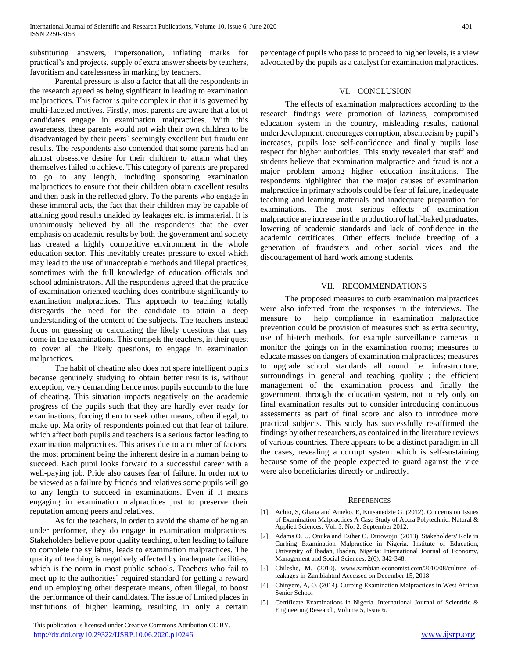substituting answers, impersonation, inflating marks for practical's and projects, supply of extra answer sheets by teachers, favoritism and carelessness in marking by teachers.

 Parental pressure is also a factor that all the respondents in the research agreed as being significant in leading to examination malpractices. This factor is quite complex in that it is governed by multi-faceted motives. Firstly, most parents are aware that a lot of candidates engage in examination malpractices. With this awareness, these parents would not wish their own children to be disadvantaged by their peers` seemingly excellent but fraudulent results. The respondents also contended that some parents had an almost obsessive desire for their children to attain what they themselves failed to achieve. This category of parents are prepared to go to any length, including sponsoring examination malpractices to ensure that their children obtain excellent results and then bask in the reflected glory. To the parents who engage in these immoral acts, the fact that their children may be capable of attaining good results unaided by leakages etc. is immaterial. It is unanimously believed by all the respondents that the over emphasis on academic results by both the government and society has created a highly competitive environment in the whole education sector. This inevitably creates pressure to excel which may lead to the use of unacceptable methods and illegal practices, sometimes with the full knowledge of education officials and school administrators. All the respondents agreed that the practice of examination oriented teaching does contribute significantly to examination malpractices. This approach to teaching totally disregards the need for the candidate to attain a deep understanding of the content of the subjects. The teachers instead focus on guessing or calculating the likely questions that may come in the examinations. This compels the teachers, in their quest to cover all the likely questions, to engage in examination malpractices.

 The habit of cheating also does not spare intelligent pupils because genuinely studying to obtain better results is, without exception, very demanding hence most pupils succumb to the lure of cheating. This situation impacts negatively on the academic progress of the pupils such that they are hardly ever ready for examinations, forcing them to seek other means, often illegal, to make up. Majority of respondents pointed out that fear of failure, which affect both pupils and teachers is a serious factor leading to examination malpractices. This arises due to a number of factors, the most prominent being the inherent desire in a human being to succeed. Each pupil looks forward to a successful career with a well-paying job. Pride also causes fear of failure. In order not to be viewed as a failure by friends and relatives some pupils will go to any length to succeed in examinations. Even if it means engaging in examination malpractices just to preserve their reputation among peers and relatives.

 As for the teachers, in order to avoid the shame of being an under performer, they do engage in examination malpractices. Stakeholders believe poor quality teaching, often leading to failure to complete the syllabus, leads to examination malpractices. The quality of teaching is negatively affected by inadequate facilities, which is the norm in most public schools. Teachers who fail to meet up to the authorities` required standard for getting a reward end up employing other desperate means, often illegal, to boost the performance of their candidates. The issue of limited places in institutions of higher learning, resulting in only a certain

 This publication is licensed under Creative Commons Attribution CC BY. <http://dx.doi.org/10.29322/IJSRP.10.06.2020.p10246> [www.ijsrp.org](http://ijsrp.org/)

percentage of pupils who pass to proceed to higher levels, is a view advocated by the pupils as a catalyst for examination malpractices.

# VI. CONCLUSION

 The effects of examination malpractices according to the research findings were promotion of laziness, compromised education system in the country, misleading results, national underdevelopment, encourages corruption, absenteeism by pupil's increases, pupils lose self-confidence and finally pupils lose respect for higher authorities. This study revealed that staff and students believe that examination malpractice and fraud is not a major problem among higher education institutions. The respondents highlighted that the major causes of examination malpractice in primary schools could be fear of failure, inadequate teaching and learning materials and inadequate preparation for examinations. The most serious effects of examination malpractice are increase in the production of half-baked graduates, lowering of academic standards and lack of confidence in the academic certificates. Other effects include breeding of a generation of fraudsters and other social vices and the discouragement of hard work among students.

#### VII. RECOMMENDATIONS

 The proposed measures to curb examination malpractices were also inferred from the responses in the interviews. The measure to help compliance in examination malpractice prevention could be provision of measures such as extra security, use of hi-tech methods, for example surveillance cameras to monitor the goings on in the examination rooms; measures to educate masses on dangers of examination malpractices; measures to upgrade school standards all round i.e. infrastructure, surroundings in general and teaching quality; the efficient management of the examination process and finally the government, through the education system, not to rely only on final examination results but to consider introducing continuous assessments as part of final score and also to introduce more practical subjects. This study has successfully re-affirmed the findings by other researchers, as contained in the literature reviews of various countries. There appears to be a distinct paradigm in all the cases, revealing a corrupt system which is self-sustaining because some of the people expected to guard against the vice were also beneficiaries directly or indirectly.

#### **REFERENCES**

- [1] Achio, S, Ghana and Ameko, E, Kutsanedzie G. (2012). Concerns on Issues of Examination Malpractices A Case Study of Accra Polytechnic: Natural & Applied Sciences: Vol. 3, No. 2, September 2012.
- [2] Adams O. U. Onuka and Esther O. Durowoju. (2013). Stakeholders' Role in Curbing Examination Malpractice in Nigeria. Institute of Education, University of Ibadan, Ibadan, Nigeria: International Journal of Economy, Management and Social Sciences, 2(6), 342-348.
- [3] Chileshe, M. (2010). www.zambian-economist.com/2010/08/culture ofleakages-in-Zambiahtml.Accessed on December 15, 2018.
- [4] Chinyere, A, O. (2014). Curbing Examination Malpractices in West African Senior School
- [5] Certificate Examinations in Nigeria. International Journal of Scientific & Engineering Research, Volume 5, Issue 6.